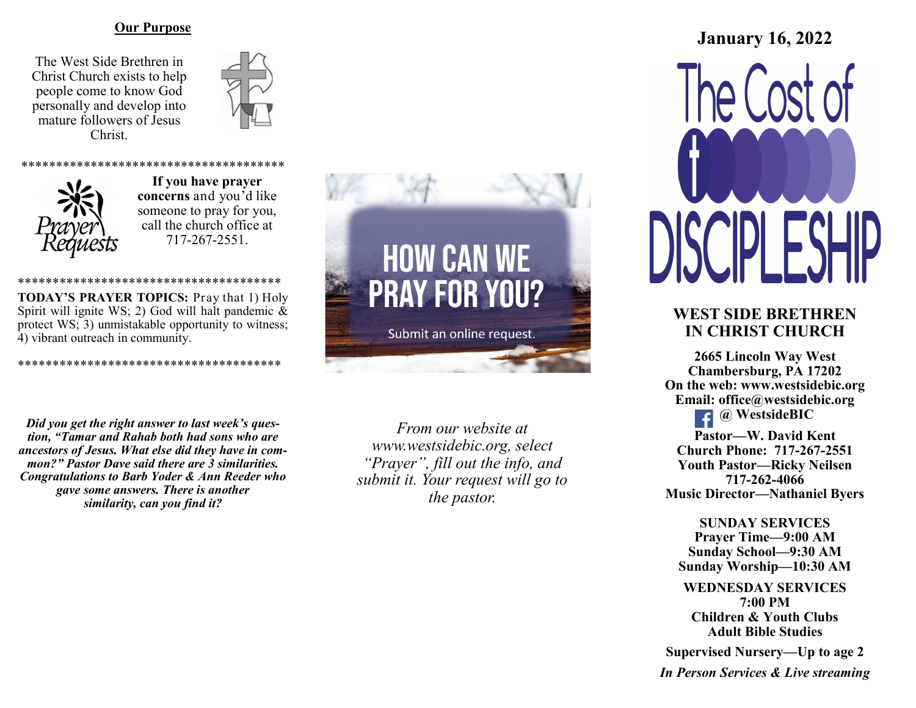#### **Our Purpose**

The West Side Brethren in Christ Church exists to help people come to know God personally and develop into mature followers of Jesus Christ.





\*\*\*\*\*\*\*\*\*\*\*\*\*\*\*\*\*\*\*\*\*\*\*\*\*\*\*\*\*\*\*\*\*\*\*\*\*\* **If you have prayer concerns** and you'd like someone to pray for you, call the church office at 717-267-2551.

\*\*\*\*\*\*\*\*\*\*\*\*\*\*\*\*\*\*\*\*\*\*\*\*\*\*\*\*\*\*\*\*\*\*\*\*\*\* **TODAY'S PRAYER TOPICS:** Pray that 1) Holy Spirit will ignite WS; 2) God will halt pandemic & protect WS; 3) unmistakable opportunity to witness; 4) vibrant outreach in community.

\*\*\*\*\*\*\*\*\*\*\*\*\*\*\*\*\*\*\*\*\*\*\*\*\*\*\*\*\*\*\*\*\*\*\*\*\*\*

*Did you get the right answer to last week's question, "Tamar and Rahab both had sons who are ancestors of Jesus. What else did they have in common?" Pastor Dave said there are 3 similarities. Congratulations to Barb Yoder & Ann Reeder who gave some answers. There is another similarity, can you find it?*



*From our website at www.westsidebic.org, select "Prayer", fill out the info, and submit it. Your request will go to the pastor.*

# **January 16, 2022**

## **WEST SIDE BRETHREN IN CHRIST CHURCH**

**2665 Lincoln Way West Chambersburg, PA 17202 On the web: [www.westsidebic.org](http://www.westsidebic.org) Email: office@westsidebic.org @ WestsideBIC Pastor—W. David Kent Church Phone: 717-267-2551 Youth Pastor—Ricky Neilsen**

**717-262-4066 Music Director—Nathaniel Byers**

**SUNDAY SERVICES Prayer Time—9:00 AM Sunday School—9:30 AM Sunday Worship—10:30 AM**

**WEDNESDAY SERVICES 7:00 PM Children & Youth Clubs Adult Bible Studies**

**Supervised Nursery—Up to age 2**

*In Person Services & Live streaming*